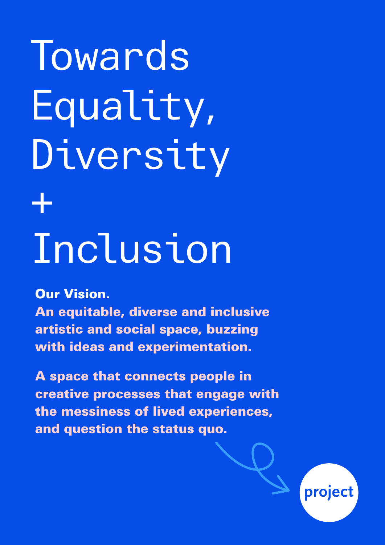# **Towards** Equality, Diversity + Inclusion

Our Vision.

An equitable, diverse and inclusive artistic and social space, buzzing with ideas and experimentation.

A space that connects people in creative processes that engage with the messiness of lived experiences, and question the status quo.

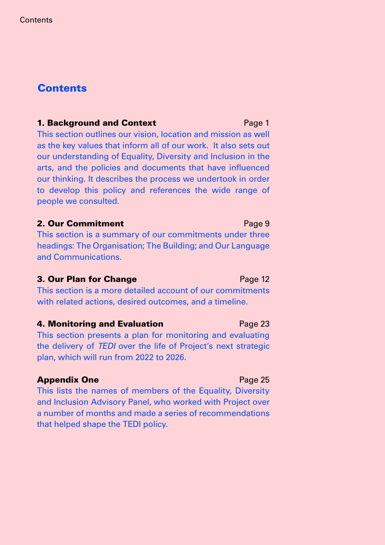#### **Contents**

#### **1. Background and Context Example 20 Fage 1** Page 1

This section outlines our vision, location and mission as well as the key values that inform all of our work. It also sets out our understanding of Equality, Diversity and Inclusion in the arts, and the policies and documents that have influenced our thinking. It describes the process we undertook in order to develop this policy and references the wide range of people we consulted.

#### **2. Our Commitment** Page 9

This section is a summary of our commitments under three headings: The Organisation; The Building; and Our Language and Communications.

#### **3. Our Plan for Change Page 12**

This section is a more detailed account of our commitments with related actions, desired outcomes, and a timeline.

#### **4. Monitoring and Evaluation Fagulary Page 23**

This section presents a plan for monitoring and evaluating the delivery of *TEDI* over the life of Project's next strategic plan, which will run from 2022 to 2026.

#### **Appendix One Page 25**

This lists the names of members of the Equality, Diversity and Inclusion Advisory Panel, who worked with Project over a number of months and made a series of recommendations that helped shape the TEDI policy.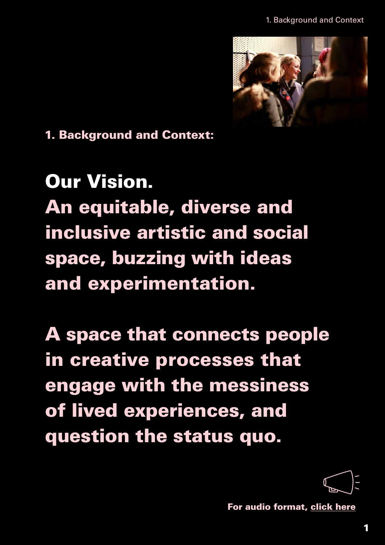1. Background and Context



1. Background and Context:

## Our Vision. An equitable, diverse and inclusive artistic and social space, buzzing with ideas and experimentation.

A space that connects people in creative processes that engage with the messiness of lived experiences, and question the status quo.



[For audio format, click here](https://soundcloud.com/projectarts/tedi-section-1-background-and-context/s-x7EEtjGSYPs?si=faba20e444bc4ffe958f50ece914938f)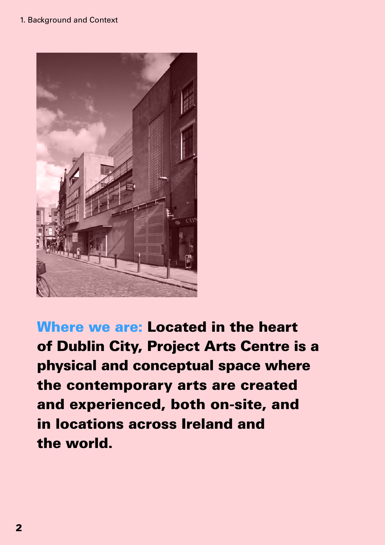

Where we are: Located in the heart of Dublin City, Project Arts Centre is a physical and conceptual space where the contemporary arts are created and experienced, both on-site, and in locations across Ireland and the world.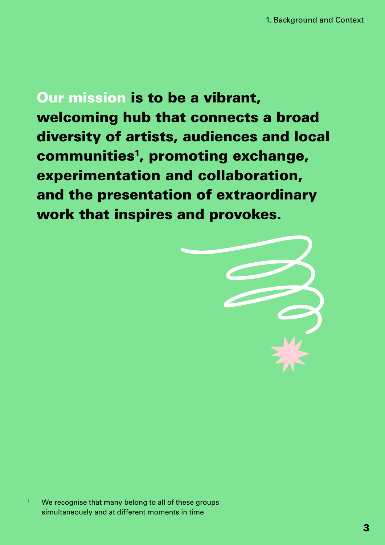Our mission is to be a vibrant, welcoming hub that connects a broad diversity of artists, audiences and local communities<sup>1</sup>, promoting exchange, experimentation and collaboration, and the presentation of extraordinary work that inspires and provokes.



<sup>1</sup> We recognise that many belong to all of these groups simultaneously and at different moments in time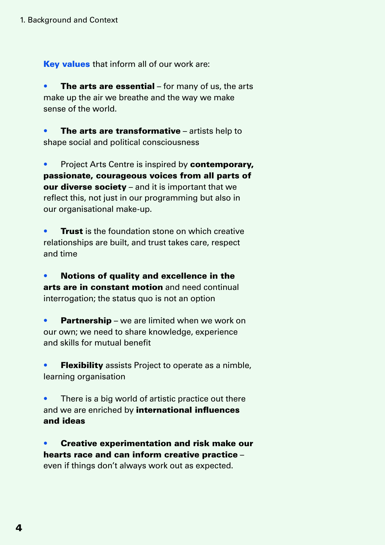Key values that inform all of our work are:

**The arts are essential** – for many of us, the arts make up the air we breathe and the way we make sense of the world.

The arts are transformative  $-$  artists help to shape social and political consciousness

• Project Arts Centre is inspired by **contemporary,** passionate, courageous voices from all parts of our diverse society – and it is important that we reflect this, not just in our programming but also in our organisational make-up.

**Trust** is the foundation stone on which creative relationships are built, and trust takes care, respect and time

• Notions of quality and excellence in the arts are in constant motion and need continual interrogation; the status quo is not an option

**• Partnership** – we are limited when we work on our own; we need to share knowledge, experience and skills for mutual benefit

**Flexibility** assists Project to operate as a nimble, learning organisation

There is a big world of artistic practice out there and we are enriched by international influences and ideas

• Creative experimentation and risk make our hearts race and can inform creative practice – even if things don't always work out as expected.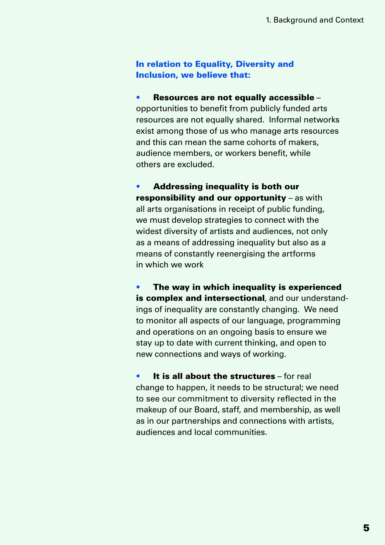#### In relation to Equality, Diversity and Inclusion, we believe that:

• Resources are not equally accessible – opportunities to benefit from publicly funded arts resources are not equally shared. Informal networks exist among those of us who manage arts resources and this can mean the same cohorts of makers, audience members, or workers benefit, while others are excluded.

• Addressing inequality is both our responsibility and our opportunity – as with all arts organisations in receipt of public funding, we must develop strategies to connect with the widest diversity of artists and audiences, not only as a means of addressing inequality but also as a means of constantly reenergising the artforms in which we work

The way in which inequality is experienced is complex and intersectional, and our understandings of inequality are constantly changing. We need to monitor all aspects of our language, programming and operations on an ongoing basis to ensure we stay up to date with current thinking, and open to new connections and ways of working.

It is all about the structures – for real change to happen, it needs to be structural; we need to see our commitment to diversity reflected in the makeup of our Board, staff, and membership, as well as in our partnerships and connections with artists, audiences and local communities.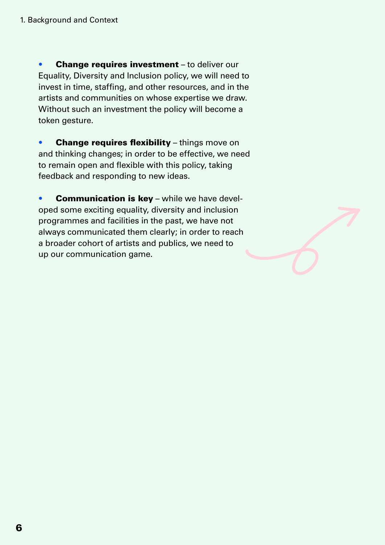• Change requires investment - to deliver our Equality, Diversity and Inclusion policy, we will need to invest in time, staffing, and other resources, and in the artists and communities on whose expertise we draw. Without such an investment the policy will become a token gesture.

• Change requires flexibility – things move on and thinking changes; in order to be effective, we need to remain open and flexible with this policy, taking feedback and responding to new ideas.

**• Communication is key** – while we have developed some exciting equality, diversity and inclusion programmes and facilities in the past, we have not always communicated them clearly; in order to reach a broader cohort of artists and publics, we need to up our communication game.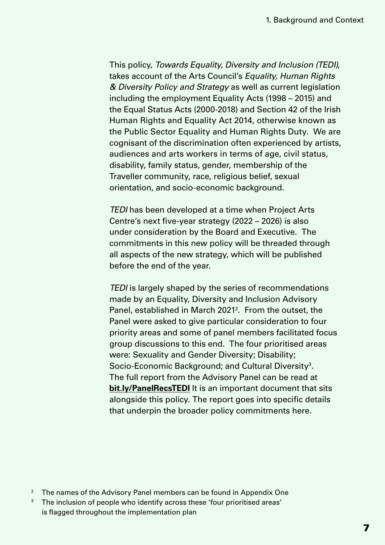This policy, *Towards Equality, Diversity and Inclusion (TEDI)*, takes account of the Arts Council's *Equality, Human Rights & Diversity Policy and Strategy* as well as current legislation including the employment Equality Acts (1998 – 2015) and the Equal Status Acts (2000-2018) and Section 42 of the Irish Human Rights and Equality Act 2014, otherwise known as the Public Sector Equality and Human Rights Duty. We are cognisant of the discrimination often experienced by artists, audiences and arts workers in terms of age, civil status, disability, family status, gender, membership of the Traveller community, race, religious belief, sexual orientation, and socio-economic background.

*TEDI* has been developed at a time when Project Arts Centre's next five-year strategy  $(2022 - 2026)$  is also under consideration by the Board and Executive. The commitments in this new policy will be threaded through all aspects of the new strategy, which will be published before the end of the year.

*TEDI* is largely shaped by the series of recommendations made by an Equality, Diversity and Inclusion Advisory Panel, established in March 2021<sup>2</sup>. From the outset, the Panel were asked to give particular consideration to four priority areas and some of panel members facilitated focus group discussions to this end. The four prioritised areas were: Sexuality and Gender Diversity; Disability; Socio-Economic Background; and Cultural Diversity<sup>3</sup>. [The full report from the Adviso](https://projectartscentre.ie/wp-content/uploads/2021/11/TEDI-Advisory-Panel-Recommendations.pdf)ry Panel can be read at **bit.ly/PanelRecsTEDI** It is an important document that sits alongside this policy. The report goes into specific details that underpin the broader policy commitments here.

<sup>&</sup>lt;sup>2</sup> The names of the Advisory Panel members can be found in Appendix One

<sup>&</sup>lt;sup>3</sup> The inclusion of people who identify across these 'four prioritised areas' is flagged throughout the implementation plan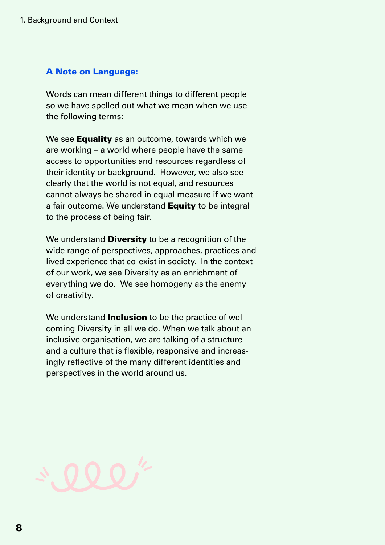#### A Note on Language:

Words can mean different things to different people so we have spelled out what we mean when we use the following terms:

We see **Equality** as an outcome, towards which we are working – a world where people have the same access to opportunities and resources regardless of their identity or background. However, we also see clearly that the world is not equal, and resources cannot always be shared in equal measure if we want a fair outcome. We understand **Equity** to be integral to the process of being fair.

We understand **Diversity** to be a recognition of the wide range of perspectives, approaches, practices and lived experience that co-exist in society. In the context of our work, we see Diversity as an enrichment of everything we do. We see homogeny as the enemy of creativity.

We understand **Inclusion** to be the practice of welcoming Diversity in all we do. When we talk about an inclusive organisation, we are talking of a structure and a culture that is flexible, responsive and increasingly reflective of the many different identities and perspectives in the world around us.

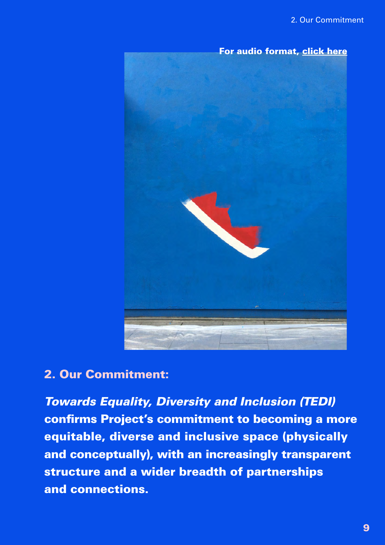

#### 2. Our Commitment:

*Towards Equality, Diversity and Inclusion (TEDI)* confirms Project's commitment to becoming a more equitable, diverse and inclusive space (physically and conceptually), with an increasingly transparent structure and a wider breadth of partnerships and connections.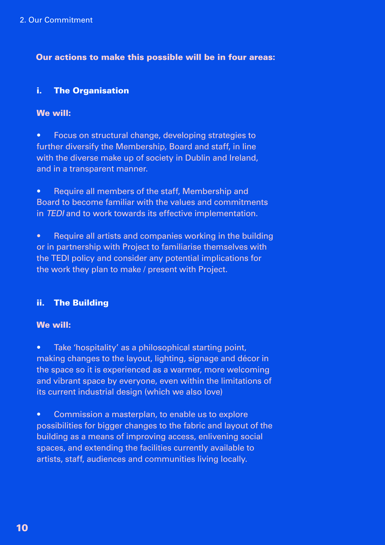#### Our actions to make this possible will be in four areas:

#### i. The Organisation

#### We will:

• Focus on structural change, developing strategies to further diversify the Membership, Board and staff, in line with the diverse make up of society in Dublin and Ireland, and in a transparent manner.

• Require all members of the staff, Membership and Board to become familiar with the values and commitments in *TEDI* and to work towards its effective implementation.

• Require all artists and companies working in the building or in partnership with Project to familiarise themselves with the TEDI policy and consider any potential implications for the work they plan to make / present with Project.

#### ii. The Building

#### We will:

• Take 'hospitality' as a philosophical starting point, making changes to the layout, lighting, signage and décor in the space so it is experienced as a warmer, more welcoming and vibrant space by everyone, even within the limitations of its current industrial design (which we also love)

• Commission a masterplan, to enable us to explore possibilities for bigger changes to the fabric and layout of the building as a means of improving access, enlivening social spaces, and extending the facilities currently available to artists, staff, audiences and communities living locally.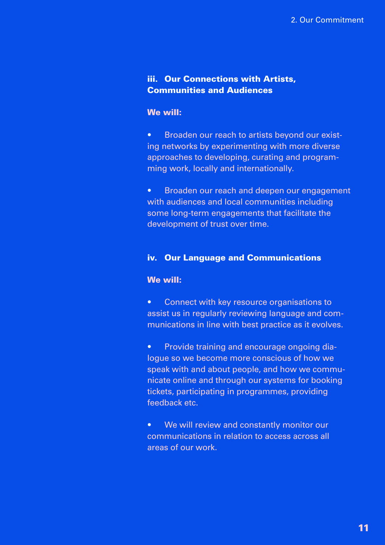#### iii. Our Connections with Artists, Communities and Audiences

#### We will:

• Broaden our reach to artists beyond our existing networks by experimenting with more diverse approaches to developing, curating and programming work, locally and internationally.

• Broaden our reach and deepen our engagement with audiences and local communities including some long-term engagements that facilitate the development of trust over time.

#### iv. Our Language and Communications

#### We will:

• Connect with key resource organisations to assist us in regularly reviewing language and communications in line with best practice as it evolves.

• Provide training and encourage ongoing dialogue so we become more conscious of how we speak with and about people, and how we communicate online and through our systems for booking tickets, participating in programmes, providing feedback etc.

• We will review and constantly monitor our communications in relation to access across all areas of our work.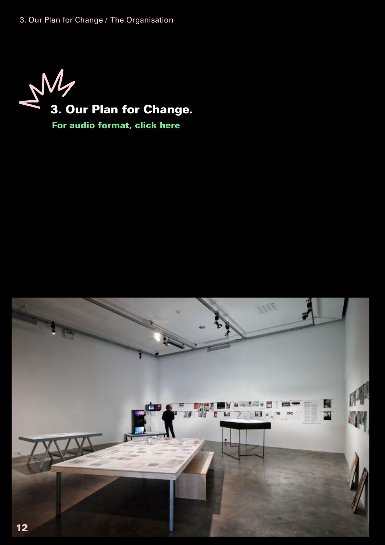3. Our Plan for Change / The Organisation



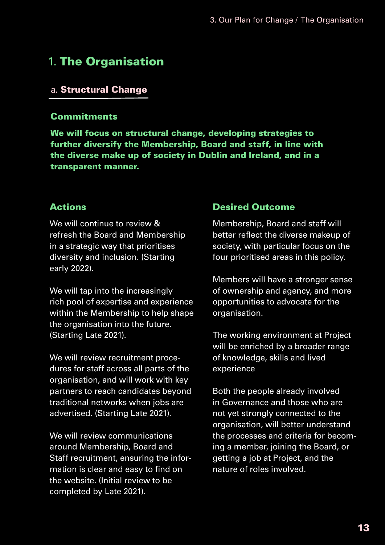### 1. The Organisation

#### a. Structural Change

#### **Commitments**

We will focus on structural change, developing strategies to further diversify the Membership, Board and staff, in line with the diverse make up of society in Dublin and Ireland, and in a transparent manner.

#### Actions

We will continue to review & refresh the Board and Membership in a strategic way that prioritises diversity and inclusion. (Starting early 2022).

We will tap into the increasingly rich pool of expertise and experience within the Membership to help shape the organisation into the future. (Starting Late 2021).

We will review recruitment procedures for staff across all parts of the organisation, and will work with key partners to reach candidates beyond traditional networks when jobs are advertised. (Starting Late 2021).

We will review communications around Membership, Board and Staff recruitment, ensuring the information is clear and easy to find on the website. (Initial review to be completed by Late 2021).

#### Desired Outcome

Membership, Board and staff will better reflect the diverse makeup of society, with particular focus on the four prioritised areas in this policy.

Members will have a stronger sense of ownership and agency, and more opportunities to advocate for the organisation.

The working environment at Project will be enriched by a broader range of knowledge, skills and lived experience

Both the people already involved in Governance and those who are not yet strongly connected to the organisation, will better understand the processes and criteria for becoming a member, joining the Board, or getting a job at Project, and the nature of roles involved.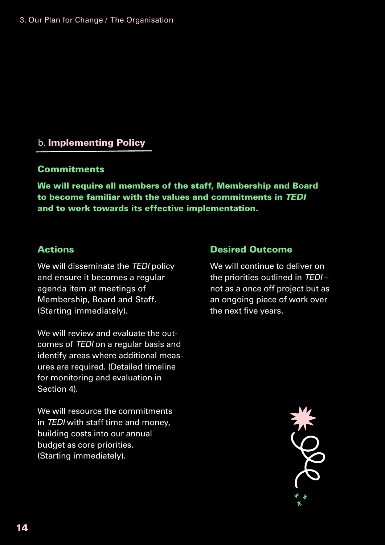#### 3. Our Plan for Change / The Organisation

#### b. Implementing Policy

#### **Commitments**

We will require all members of the staff, Membership and Board to become familiar with the values and commitments in *TEDI* and to work towards its effective implementation.

#### Actions

We will disseminate the *TEDI* policy and ensure it becomes a regular agenda item at meetings of Membership, Board and Staff. (Starting immediately).

We will review and evaluate the outcomes of *TEDI* on a regular basis and identify areas where additional measures are required. (Detailed timeline for monitoring and evaluation in Section 4).

We will resource the commitments in *TEDI* with staff time and money, building costs into our annual budget as core priorities. (Starting immediately).

#### Desired Outcome

We will continue to deliver on the priorities outlined in *TEDI* – not as a once off project but as an ongoing piece of work over the next five years.

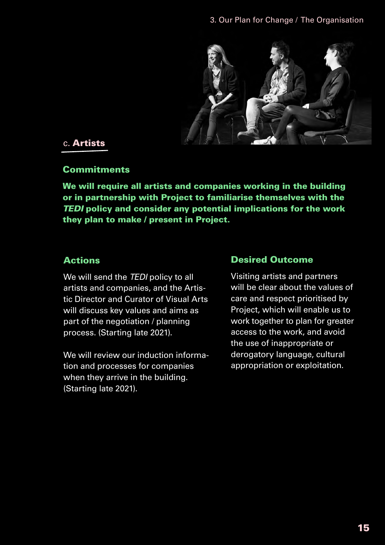

#### c. Artists

#### **Commitments**

We will require all artists and companies working in the building or in partnership with Project to familiarise themselves with the *TEDI* policy and consider any potential implications for the work they plan to make / present in Project.

#### Actions

We will send the *TEDI* policy to all artists and companies, and the Artistic Director and Curator of Visual Arts will discuss key values and aims as part of the negotiation / planning process. (Starting late 2021).

We will review our induction information and processes for companies when they arrive in the building. (Starting late 2021).

#### Desired Outcome

Visiting artists and partners will be clear about the values of care and respect prioritised by Project, which will enable us to work together to plan for greater access to the work, and avoid the use of inappropriate or derogatory language, cultural appropriation or exploitation.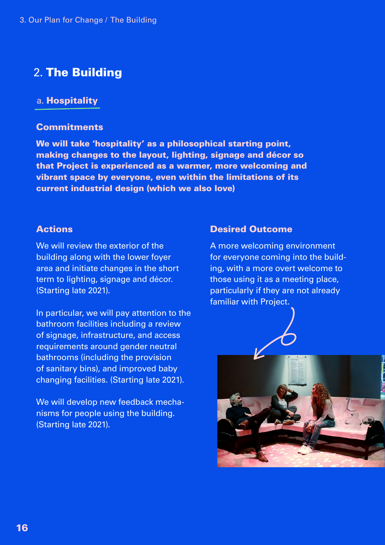#### 2. The Building

#### a. Hospitality

#### **Commitments**

We will take 'hospitality' as a philosophical starting point, making changes to the layout, lighting, signage and décor so that Project is experienced as a warmer, more welcoming and vibrant space by everyone, even within the limitations of its current industrial design (which we also love)

#### Actions

We will review the exterior of the building along with the lower foyer area and initiate changes in the short term to lighting, signage and décor. (Starting late 2021).

In particular, we will pay attention to the bathroom facilities including a review of signage, infrastructure, and access requirements around gender neutral bathrooms (including the provision of sanitary bins), and improved baby changing facilities. (Starting late 2021).

We will develop new feedback mechanisms for people using the building. (Starting late 2021).

#### Desired Outcome

A more welcoming environment for everyone coming into the building, with a more overt welcome to those using it as a meeting place, particularly if they are not already familiar with Project.

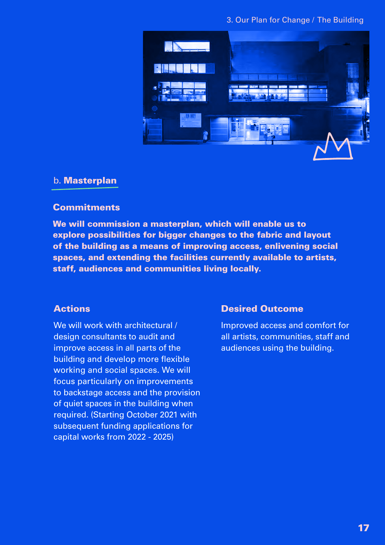#### 3. Our Plan for Change / The Building



#### b. Masterplan

#### **Commitments**

We will commission a masterplan, which will enable us to explore possibilities for bigger changes to the fabric and layout of the building as a means of improving access, enlivening social spaces, and extending the facilities currently available to artists, staff, audiences and communities living locally.

#### Actions

We will work with architectural / design consultants to audit and improve access in all parts of the building and develop more flexible working and social spaces. We will focus particularly on improvements to backstage access and the provision of quiet spaces in the building when required. (Starting October 2021 with subsequent funding applications for capital works from 2022 - 2025)

#### Desired Outcome

Improved access and comfort for all artists, communities, staff and audiences using the building.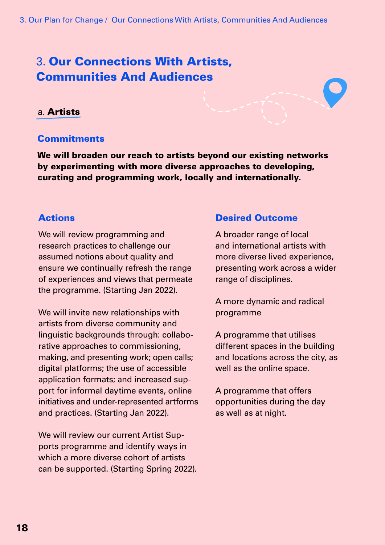## 3. Our Connections With Artists, Communities And Audiences

#### a. Artists

#### **Commitments**

We will broaden our reach to artists beyond our existing networks by experimenting with more diverse approaches to developing, curating and programming work, locally and internationally.

#### Actions

We will review programming and research practices to challenge our assumed notions about quality and ensure we continually refresh the range of experiences and views that permeate the programme. (Starting Jan 2022).

We will invite new relationships with artists from diverse community and linguistic backgrounds through: collaborative approaches to commissioning, making, and presenting work; open calls; digital platforms; the use of accessible application formats; and increased support for informal daytime events, online initiatives and under-represented artforms and practices. (Starting Jan 2022).

We will review our current Artist Supports programme and identify ways in which a more diverse cohort of artists can be supported. (Starting Spring 2022).

#### Desired Outcome

A broader range of local and international artists with more diverse lived experience, presenting work across a wider range of disciplines.

A more dynamic and radical programme

A programme that utilises different spaces in the building and locations across the city, as well as the online space.

A programme that offers opportunities during the day as well as at night.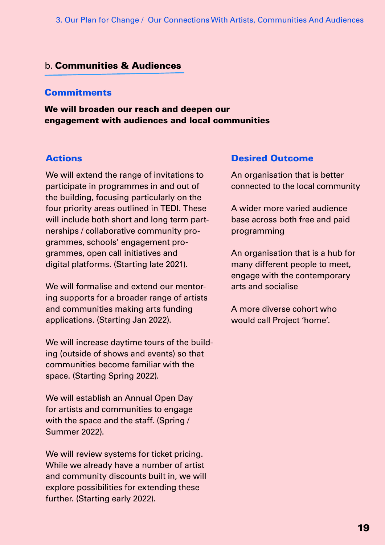#### b. Communities & Audiences

#### **Commitments**

We will broaden our reach and deepen our engagement with audiences and local communities

#### Actions

We will extend the range of invitations to participate in programmes in and out of the building, focusing particularly on the four priority areas outlined in TEDI. These will include both short and long term partnerships / collaborative community programmes, schools' engagement programmes, open call initiatives and digital platforms. (Starting late 2021).

We will formalise and extend our mentoring supports for a broader range of artists and communities making arts funding applications. (Starting Jan 2022).

We will increase daytime tours of the building (outside of shows and events) so that communities become familiar with the space. (Starting Spring 2022).

We will establish an Annual Open Day for artists and communities to engage with the space and the staff. (Spring / Summer 2022).

We will review systems for ticket pricing. While we already have a number of artist and community discounts built in, we will explore possibilities for extending these further. (Starting early 2022).

#### Desired Outcome

An organisation that is better connected to the local community

A wider more varied audience base across both free and paid programming

An organisation that is a hub for many different people to meet, engage with the contemporary arts and socialise

A more diverse cohort who would call Project 'home'.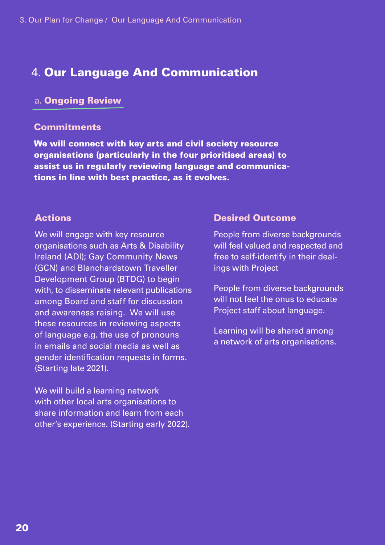#### 4. Our Language And Communication

#### a. Ongoing Review

#### **Commitments**

We will connect with key arts and civil society resource organisations (particularly in the four prioritised areas) to assist us in regularly reviewing language and communications in line with best practice, as it evolves.

#### Actions

We will engage with key resource organisations such as Arts & Disability Ireland (ADI); Gay Community News (GCN) and Blanchardstown Traveller Development Group (BTDG) to begin with, to disseminate relevant publications among Board and staff for discussion and awareness raising. We will use these resources in reviewing aspects of language e.g. the use of pronouns in emails and social media as well as gender identification requests in forms. (Starting late 2021).

We will build a learning network with other local arts organisations to share information and learn from each other's experience. (Starting early 2022).

#### Desired Outcome

People from diverse backgrounds will feel valued and respected and free to self-identify in their dealings with Project

People from diverse backgrounds will not feel the onus to educate Project staff about language.

Learning will be shared among a network of arts organisations.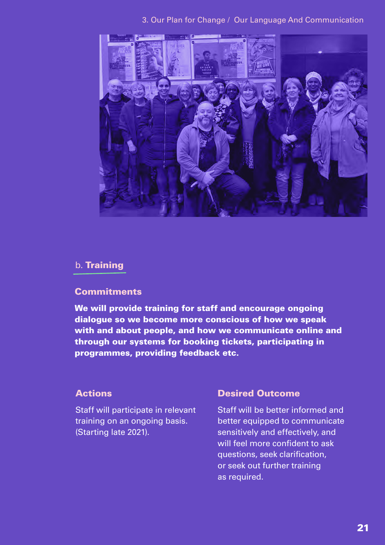

#### 3. Our Plan for Change / Our Language And Communication

#### b. Training

#### **Commitments**

We will provide training for staff and encourage ongoing dialogue so we become more conscious of how we speak with and about people, and how we communicate online and through our systems for booking tickets, participating in programmes, providing feedback etc.

#### Actions

Staff will participate in relevant training on an ongoing basis. (Starting late 2021).

#### Desired Outcome

Staff will be better informed and better equipped to communicate sensitively and effectively, and will feel more confident to ask questions, seek clarification, or seek out further training as required.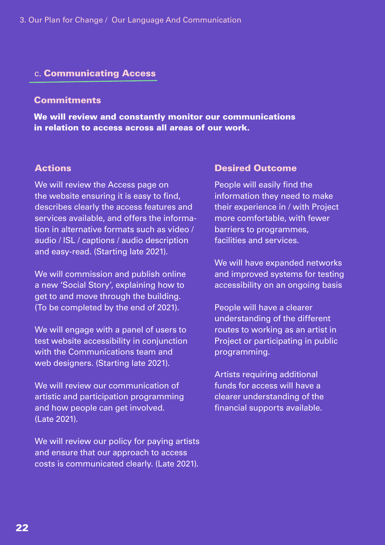#### c. Communicating Access

#### **Commitments**

We will review and constantly monitor our communications in relation to access across all areas of our work.

#### Actions

We will review the Access page on the website ensuring it is easy to find, describes clearly the access features and services available, and offers the information in alternative formats such as video / audio / ISL / captions / audio description and easy-read. (Starting late 2021).

We will commission and publish online a new 'Social Story', explaining how to get to and move through the building. (To be completed by the end of 2021).

We will engage with a panel of users to test website accessibility in conjunction with the Communications team and web designers. (Starting late 2021).

We will review our communication of artistic and participation programming and how people can get involved. (Late 2021).

We will review our policy for paying artists and ensure that our approach to access costs is communicated clearly. (Late 2021).

#### Desired Outcome

People will easily find the information they need to make their experience in / with Project more comfortable, with fewer barriers to programmes, facilities and services.

We will have expanded networks and improved systems for testing accessibility on an ongoing basis

People will have a clearer understanding of the different routes to working as an artist in Project or participating in public programming.

Artists requiring additional funds for access will have a clearer understanding of the financial supports available.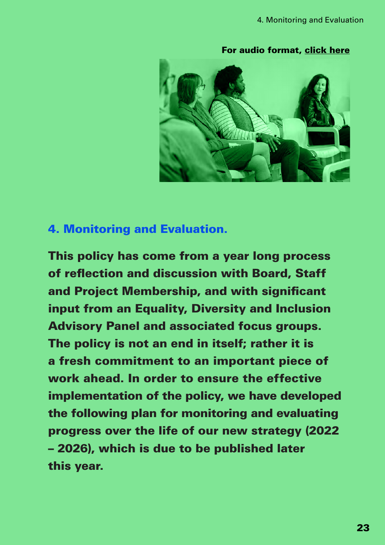[For audio format, click here](https://soundcloud.com/projectarts/tedi-section-4-monitoring-and-evaluation/s-In1KBjA32JZ?si=faba20e444bc4ffe958f50ece914938f)



#### 4. Monitoring and Evaluation.

This policy has come from a year long process of reflection and discussion with Board, Staff and Project Membership, and with significant input from an Equality, Diversity and Inclusion Advisory Panel and associated focus groups. The policy is not an end in itself; rather it is a fresh commitment to an important piece of work ahead. In order to ensure the effective implementation of the policy, we have developed the following plan for monitoring and evaluating progress over the life of our new strategy (2022 – 2026), which is due to be published later this year.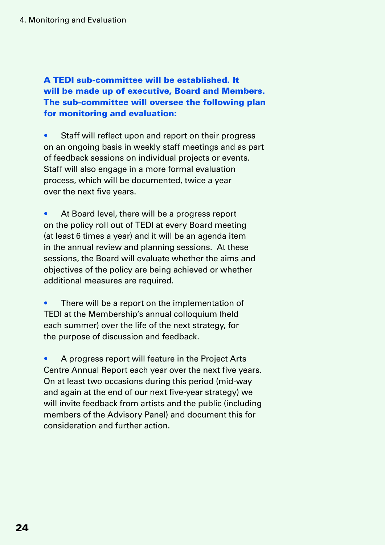A TEDI sub-committee will be established. It will be made up of executive, Board and Members. The sub-committee will oversee the following plan for monitoring and evaluation:

• Staff will reflect upon and report on their progress on an ongoing basis in weekly staff meetings and as part of feedback sessions on individual projects or events. Staff will also engage in a more formal evaluation process, which will be documented, twice a year over the next five years.

At Board level, there will be a progress report on the policy roll out of TEDI at every Board meeting (at least 6 times a year) and it will be an agenda item in the annual review and planning sessions. At these sessions, the Board will evaluate whether the aims and objectives of the policy are being achieved or whether additional measures are required.

There will be a report on the implementation of TEDI at the Membership's annual colloquium (held each summer) over the life of the next strategy, for the purpose of discussion and feedback.

• A progress report will feature in the Project Arts Centre Annual Report each year over the next five years. On at least two occasions during this period (mid-way and again at the end of our next five-year strategy) we will invite feedback from artists and the public (including members of the Advisory Panel) and document this for consideration and further action.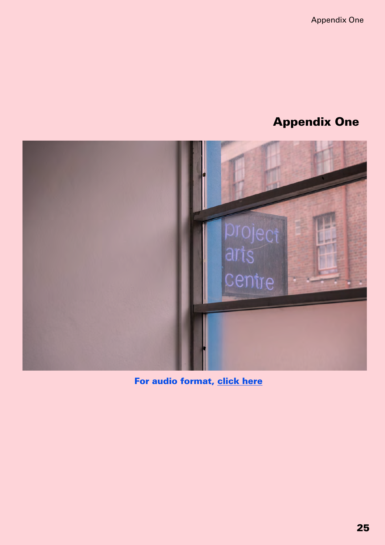Appendix One

## Appendix One



[For audio format, click here](https://soundcloud.com/projectarts/tedi-section-5-appendix-1/s-KlTbsObd7B3?si=faba20e444bc4ffe958f50ece914938f)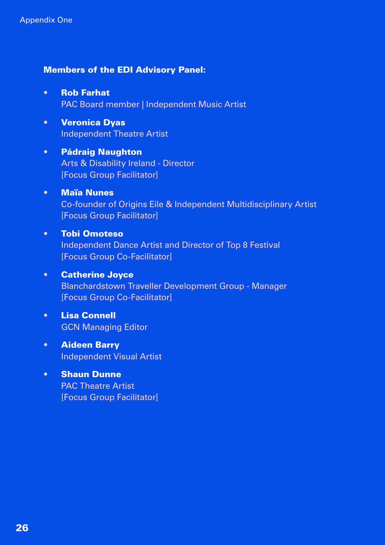#### Members of the EDI Advisory Panel:

- Rob Farhat PAC Board member | Independent Music Artist
- Veronica Dyas Independent Theatre Artist
- Pádraig Naughton Arts & Disability Ireland - Director [Focus Group Facilitator]
- Maïa Nunes Co-founder of Origins Eile & Independent Multidisciplinary Artist [Focus Group Facilitator]
- Tobi Omoteso Independent Dance Artist and Director of Top 8 Festival [Focus Group Co-Facilitator]
- Catherine Joyce Blanchardstown Traveller Development Group - Manager [Focus Group Co-Facilitator]
- Lisa Connell GCN Managing Editor
- Aideen Barry Independent Visual Artist
- Shaun Dunne PAC Theatre Artist [Focus Group Facilitator]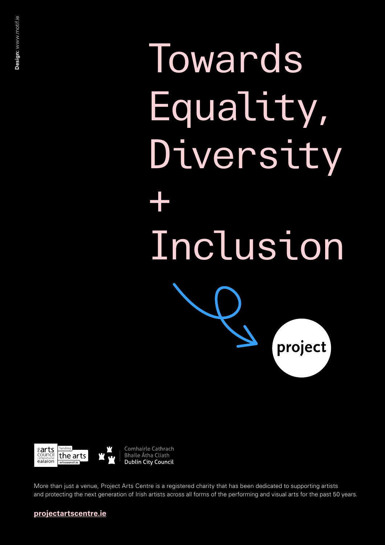**Towards** Equality, Diversity + Inclusion project



Comhairle Cathrach **Bhaile Átha Cliath Dublin City Council** 

More than just a venue, Project Arts Centre is a registered charity that has been dedicated to supporting artists and protecting the next generation of Irish artists across all forms of the performing and visual arts for the past 50 years.

#### **projectartscentre.ie**